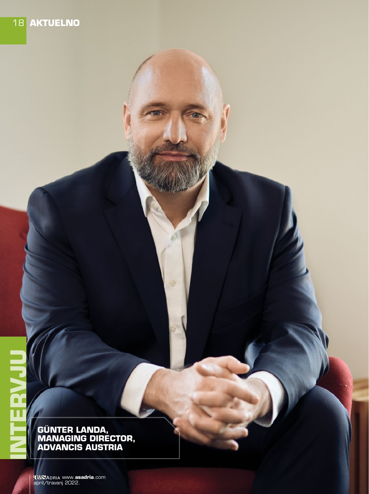**INTER LANDA,<br>
GÜNTER LANDA,<br>
MANAGING DIRECT ADVANCIS AUSTR MANAGING DIRECTOR, ADVANCIS AUSTRIA**

> april/travanj 2022. www.**asadria**.com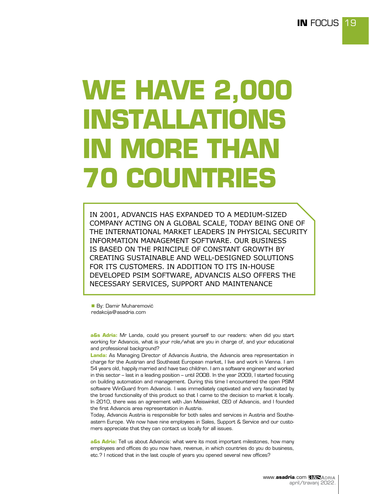# **WE HAVE 2,000 INSTALLATIONS IN MORE THAN 70 COUNTRIES**

IN 2001, ADVANCIS HAS EXPANDED TO A MEDIUM-SIZED COMPANY ACTING ON A GLOBAL SCALE, TODAY BEING ONE OF THE INTERNATIONAL MARKET LEADERS IN PHYSICAL SECURITY INFORMATION MANAGEMENT SOFTWARE. OUR BUSINESS IS BASED ON THE PRINCIPLE OF CONSTANT GROWTH BY CREATING SUSTAINABLE AND WELL-DESIGNED SOLUTIONS FOR ITS CUSTOMERS. IN ADDITION TO ITS IN-HOUSE DEVELOPED PSIM SOFTWARE, ADVANCIS ALSO OFFERS THE NECESSARY SERVICES, SUPPORT AND MAINTENANCE

**By: Damir Muharemović** redakcija@asadria.com

**a&s Adria:** Mr Landa, could you present yourself to our readers: when did you start working for Advancis, what is your role/what are you in charge of, and your educational and professional background?

**Landa:** As Managing Director of Advancis Austria, the Advancis area representation in charge for the Austrian and Southeast European market, I live and work in Vienna. I am 54 years old, happily married and have two children. I am a software engineer and worked in this sector – last in a leading position – until 2008. In the year 2009, I started focusing on building automation and management. During this time I encountered the open PSIM software WinGuard from Advancis. I was immediately captivated and very fascinated by the broad functionality of this product so that I came to the decision to market it locally. In 2010, there was an agreement with Jan Meiswinkel, CEO of Advancis, and I founded the first Advancis area representation in Austria.

Today, Advancis Austria is responsible for both sales and services in Austria and Southeastern Europe. We now have nine employees in Sales, Support & Service and our customers appreciate that they can contact us locally for all issues.

**a&s Adria:** Tell us about Advancis: what were its most important milestones, how many employees and offices do you now have, revenue, in which countries do you do business, etc.? I noticed that in the last couple of years you opened several new offices?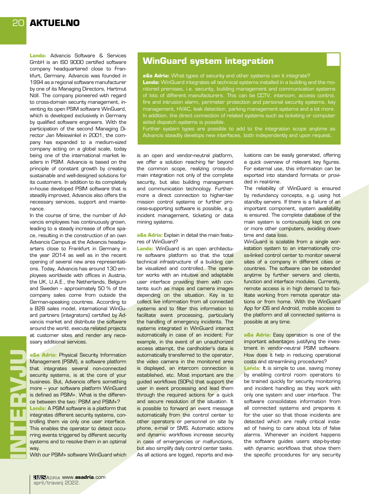**Landa:** Advancis Software & Services GmbH is an ISO 9000 certified software company headquartered close to Frankfurt, Germany. Advancis was founded in 1994 as a regional software manufacturer by one of its Managing Directors, Hartmut Nöll. The company pioneered with regard to cross-domain security management, inventing its open PSIM software WinGuard, which is developed exclusively in Germany by qualified software engineers. With the participation of the second Managing Director Jan Meiswinkel in 2001, the company has expanded to a medium-sized company acting on a global scale, today being one of the international market leaders in PSIM. Advancis is based on the principle of constant growth by creating sustainable and well-designed solutions for its customers. In addition to its completely in-house developed PSIM software that is steadily improved, Advancis also offers the necessary services, support and maintenance.

In the course of time, the number of Advancis employees has continuously grown, leading to a steady increase of office space, resulting in the construction of an own Advancis Campus at the Advancis headquarters close to Frankfurt in Germany in the year 2014 as well as in the recent opening of several new area representations. Today, Advancis has around 130 employees worldwide with offices in Austria, the UK, U.A.E., the Netherlands, Belgium and Sweden – approximately 50 % of the company sales come from outside the German-speaking countries. According to a B2B sales model, international WinGuard partners (integrators) certified by Advancis market and distribute the software around the world, execute related projects at customer sites and render any necessary additional services.

**a&s Adria:** Physical Security Information Management (PSIM), a software platform that integrates several non-connected security systems, is at the core of your business. But, Advancis offers something more – your software platform WinGuard is defined as PSIM+. What is the difference between the two: PSIM and PSIM+? **Landa:** A PSIM software is a platform that integrates different security systems, controlling them via only one user interface. This enables the operator to detect occurring events triggered by different security systems and to resolve them in an optimal way. **INTERVJU**

**HNGEF** 

With our PSIM+ software WinGuard which

### **WinGuard system integration**

**a&s Adria:** What types of security and other systems can it integrate? **Landa:** WinGuard integrates all technical systems installed in a building and the monitored premises, i.e. security, building management and communication systems of lots of different manufacturers. This can be CCTV, intercom, access control, fire and intrusion alarm, perimeter protection and personal security systems, key management, HVAC, leak detection, parking management systems and a lot more. In addition, the direct connection of related systems such as ticketing or computer aided dispatch systems is possible.

Further system types are possible to add to the integration scope anytime as Advancis steadily develops new interfaces, both independently and upon request.

is an open and vendor-neutral platform, we offer a solution reaching far beyond the common scope, realizing cross-domain integration not only of the complete security, but also building management and communication technology. Furthermore a direct connection to higher-tier mission control systems or further process-supporting software is possible, e.g. incident management, ticketing or data mining systems.

#### **a&s Adria:** Explain in detail the main features of WinGuard?

**Landa:** WinGuard is an open architecture software platform so that the total technical infrastructure of a building can be visualized and controlled. The operator works with an intuitive and adaptable user interface providing them with contents such as maps and camera images depending on the situation. Key is to collect live information from all connected systems and to filter this information to facilitate event processing, particularly the handling of emergency incidents. The systems integrated in WinGuard interact automatically in case of an incident: For example, in the event of an unauthorized access attempt, the cardholder's data is automatically transferred to the operator, the video camera in the monitored area is displayed, an intercom connection is established, etc. Most important are the guided workflows (SOPs) that support the user in event processing and lead them through the required actions for a quick and secure resolution of the situation. It is possible to forward an event message automatically from the control center to other operators or personnel on site by phone, e-mail or SMS. Automatic actions and dynamic workflows increase security in case of emergencies or malfunctions, but also simplify daily control center tasks. As all actions are logged, reports and evaluations can be easily generated, offering a quick overview of relevant key figures. For external use, this information can be exported into standard formats or provided in real-time.

The reliability of WinGuard is ensured by redundancy concepts, e.g. using hot standby servers. If there is a failure of an important component, system availability is ensured. The complete database of the main system is continuously kept on one or more other computers, avoiding downtime and data loss.

WinGuard is scalable from a single workstation system to an internationally cross-linked control center to monitor several sites of a company in different cities or countries. The software can be extended anytime by further servers and clients, function and interface modules. Currently, remote access is in high demand to facilitate working from remote operator stations or from home. With the WinGuard App for iOS and Android, mobile access to the platform and all connected systems is possible at any time.

**a&s Adria:** Easy operation is one of the important advantages justifying the investment in vendor-neutral PSIM software. How does it help in reducing operational costs and streamlining procedures?

**Landa:** It is simple to use, saving money by enabling control room operators to be trained quickly for security monitoring and incident handling as they work with only one system and user interface. The software consolidates information from all connected systems and prepares it for the user so that those incidents are detected which are really critical instead of having to care about lots of false alarms. Whenever an incident happens the software guides users step-by-step with dynamic workflows that show them the specific procedures for any security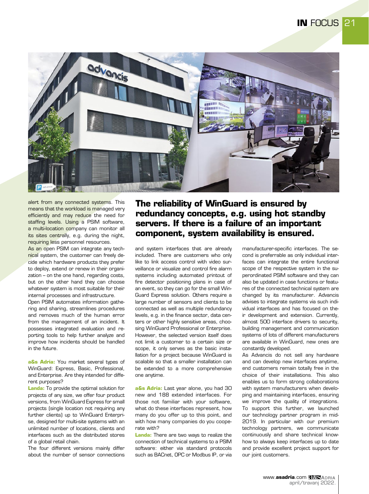

alert from any connected systems. This means that the workload is managed very efficiently and may reduce the need for staffing levels. Using a PSIM software, a multi-location company can monitor all its sites centrally, e.g. during the night, requiring less personnel resources.

As an open PSIM can integrate any technical system, the customer can freely decide which hardware products they prefer to deploy, extend or renew in their organization – on the one hand, regarding costs, but on the other hand they can choose whatever system is most suitable for their internal processes and infrastructure.

Open PSIM automates information gathering and sharing, streamlines procedures and removes much of the human error from the management of an incident. It possesses integrated evaluation and reporting tools to help further analyze and improve how incidents should be handled in the future.

**a&s Adria:** You market several types of WinGuard: Express, Basic, Professional, and Enterprise. Are they intended for different purposes?

**Landa:** To provide the optimal solution for projects of any size, we offer four product versions, from WinGuard Express for small projects (single location not requiring any further clients) up to WinGuard Enterprise, designed for multi-site systems with an unlimited number of locations, clients and interfaces such as the distributed stores of a global retail chain.

The four different versions mainly differ about the number of sensor connections

# **The reliability of WinGuard is ensured by redundancy concepts, e.g. using hot standby servers. If there is a failure of an important component, system availability is ensured.**

and system interfaces that are already included. There are customers who only like to link access control with video surveillance or visualize and control fire alarm systems including automated printout of fire detector positioning plans in case of an event, so they can go for the small Win-Guard Express solution. Others require a large number of sensors and clients to be connected as well as multiple redundancy levels, e.g. in the finance sector, data centers or other highly sensitive areas, choosing WinGuard Professional or Enterprise. However, the selected version itself does not limit a customer to a certain size or scope, it only serves as the basic installation for a project because WinGuard is scalable so that a smaller installation can be extended to a more comprehensive one anytime.

**a&s Adria:** Last year alone, you had 30 new and 188 extended interfaces. For those not familiar with your software, what do these interfaces represent, how many do you offer up to this point, and with how many companies do you cooperate with?

**Landa:** There are two ways to realize the connection of technical systems to a PSIM software: either via standard protocols such as BACnet, OPC or Modbus IP, or via manufacturer-specific interfaces. The second is preferrable as only individual interfaces can integrate the entire functional scope of the respective system in the superordinated PSIM software and they can also be updated in case functions or features of the connected technical system are changed by its manufacturer. Advancis advises to integrate systems via such individual interfaces and has focused on their development and extension. Currently, almost 500 interface drivers to security, building management and communication systems of lots of different manufacturers are available in WinGuard, new ones are constantly developed.

As Advancis do not sell any hardware and can develop new interfaces anytime, end customers remain totally free in the choice of their installations. This also enables us to form strong collaborations with system manufacturers when developing and maintaining interfaces, ensuring we improve the quality of integrations. To support this further, we launched our technology partner program in mid-2019. In particular with our premium technology partners, we communicate continuously and share technical knowhow to always keep interfaces up to date and provide excellent project support for our joint customers.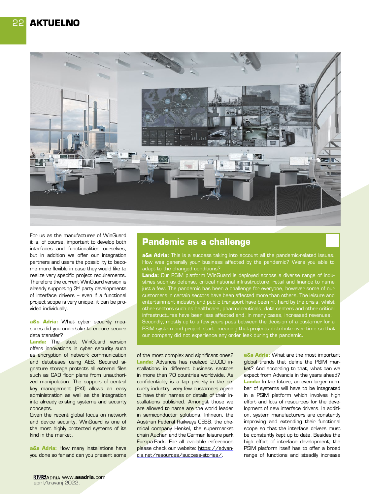

For us as the manufacturer of WinGuard it is, of course, important to develop both interfaces and functionalities ourselves, but in addition we offer our integration partners and users the possibility to become more flexible in case they would like to realize very specific project requirements. Therefore the current WinGuard version is already supporting 3<sup>rd</sup> party developments of interface drivers – even if a functional project scope is very unique, it can be provided individually.

**a&s Adria:** What cyber security measures did you undertake to ensure secure data transfer?

**Landa:** The latest WinGuard version offers innovations in cyber security such as encryption of network communication and databases using AES. Secured signature storage protects all external files such as CAD floor plans from unauthorized manipulation. The support of central key management (PKI) allows an easy administration as well as the integration into already existing systems and security concepts.

Given the recent global focus on network and device security, WinGuard is one of the most highly protected systems of its kind in the market.

**a&s Adria:** How many installations have you done so far and can you present some

## **Pandemic as a challenge**

**a&s Adria:** This is a success taking into account all the pandemic-related issues. How was generally your business affected by the pandemic? Were you able to adapt to the changed conditions?

**Landa:** Our PSIM platform WinGuard is deployed across a diverse range of industries such as defense, critical national infrastructure, retail and finance to name just a few. The pandemic has been a challenge for everyone, however some of our customers in certain sectors have been affected more than others. The leisure and entertainment industry and public transport have been hit hard by the crisis, whilst other sectors such as healthcare, pharmaceuticals, data centers and other critical infrastructures have been less affected and, in many cases, increased revenues. Secondly, mostly up to a few years pass between the decision of a customer for a PSIM system and project start, meaning that projects distribute over time so that our company did not experience any order leak during the pandemic.

of the most complex and significant ones? **Landa:** Advancis has realized 2,000 installations in different business sectors in more than 70 countries worldwide. As confidentiality is a top priority in the security industry, very few customers agree to have their names or details of their installations published. Amongst those we are allowed to name are the world leader in semiconductor solutions, Infineon, the Austrian Federal Railways OEBB, the chemical company Henkel, the supermarket chain Auchan and the German leisure park Europa-Park. For all available references please check our website: https://advancis.net/resources/success-stories/.

**a&s Adria:** What are the most important global trends that define the PSIM market? And according to that, what can we expect from Advancis in the years ahead? **Landa:** In the future, an even larger number of systems will have to be integrated in a PSIM platform which involves high effort and lots of resources for the development of new interface drivers. In addition, system manufacturers are constantly improving and extending their functional scope so that the interface drivers must be constantly kept up to date. Besides the high effort of interface development, the PSIM platform itself has to offer a broad range of functions and steadily increase